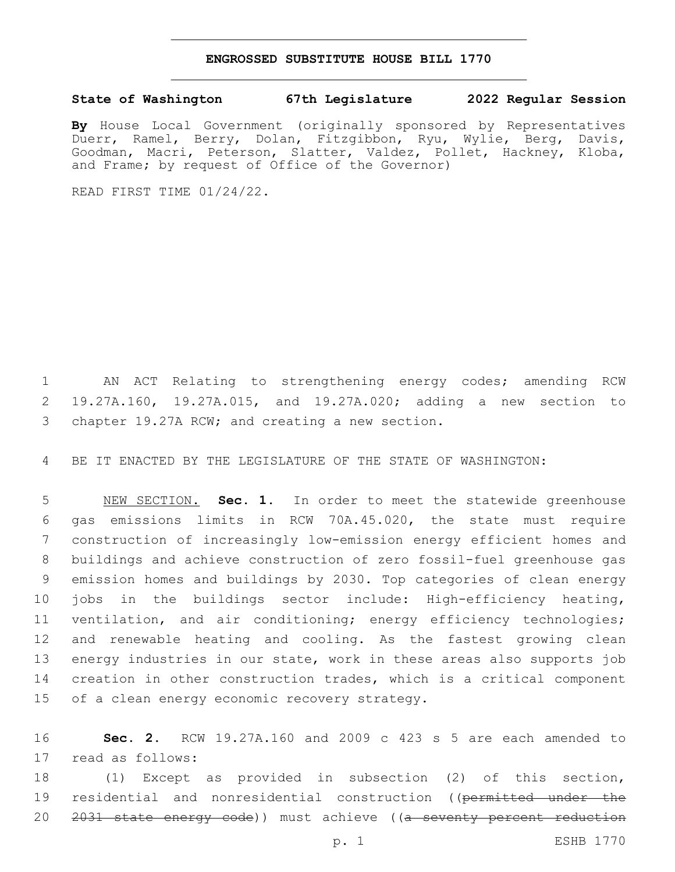## **ENGROSSED SUBSTITUTE HOUSE BILL 1770**

## **State of Washington 67th Legislature 2022 Regular Session**

By House Local Government (originally sponsored by Representatives<br>Duerr, Ramel, Berry, Dolan, Fitzgibbon, Ryu, Wylie, Berg, Davis, Dolan, Fitzgibbon, Ryu, Wylie, Berg, Davis, Goodman, Macri, Peterson, Slatter, Valdez, Pollet, Hackney, Kloba, and Frame; by request of Office of the Governor)

READ FIRST TIME 01/24/22.

1 AN ACT Relating to strengthening energy codes; amending RCW 2 19.27A.160, 19.27A.015, and 19.27A.020; adding a new section to 3 chapter 19.27A RCW; and creating a new section.

4 BE IT ENACTED BY THE LEGISLATURE OF THE STATE OF WASHINGTON:

 NEW SECTION. **Sec. 1.** In order to meet the statewide greenhouse gas emissions limits in RCW 70A.45.020, the state must require construction of increasingly low-emission energy efficient homes and buildings and achieve construction of zero fossil-fuel greenhouse gas emission homes and buildings by 2030. Top categories of clean energy jobs in the buildings sector include: High-efficiency heating, 11 ventilation, and air conditioning; energy efficiency technologies; and renewable heating and cooling. As the fastest growing clean energy industries in our state, work in these areas also supports job creation in other construction trades, which is a critical component of a clean energy economic recovery strategy.

16 **Sec. 2.** RCW 19.27A.160 and 2009 c 423 s 5 are each amended to 17 read as follows:

18 (1) Except as provided in subsection (2) of this section, 19 residential and nonresidential construction ((permitted under the 20 <del>2031 state energy code</del>)) must achieve ((a seventy percent reduction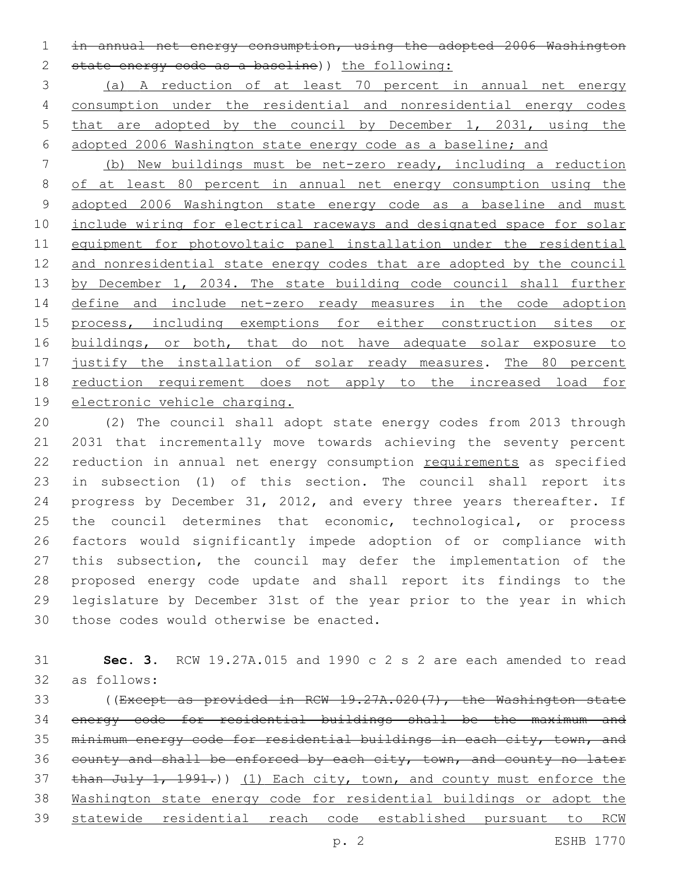in annual net energy consumption, using the adopted 2006 Washington 2 state energy code as a baseline)) the following:

 (a) A reduction of at least 70 percent in annual net energy consumption under the residential and nonresidential energy codes that are adopted by the council by December 1, 2031, using the adopted 2006 Washington state energy code as a baseline; and

 (b) New buildings must be net-zero ready, including a reduction of at least 80 percent in annual net energy consumption using the adopted 2006 Washington state energy code as a baseline and must include wiring for electrical raceways and designated space for solar equipment for photovoltaic panel installation under the residential 12 and nonresidential state energy codes that are adopted by the council 13 by December 1, 2034. The state building code council shall further define and include net-zero ready measures in the code adoption 15 process, including exemptions for either construction sites or 16 buildings, or both, that do not have adequate solar exposure to justify the installation of solar ready measures. The 80 percent reduction requirement does not apply to the increased load for electronic vehicle charging.

 (2) The council shall adopt state energy codes from 2013 through 2031 that incrementally move towards achieving the seventy percent 22 reduction in annual net energy consumption requirements as specified in subsection (1) of this section. The council shall report its progress by December 31, 2012, and every three years thereafter. If 25 the council determines that economic, technological, or process factors would significantly impede adoption of or compliance with this subsection, the council may defer the implementation of the proposed energy code update and shall report its findings to the legislature by December 31st of the year prior to the year in which 30 those codes would otherwise be enacted.

 **Sec. 3.** RCW 19.27A.015 and 1990 c 2 s 2 are each amended to read 32 as follows:

 ((Except as provided in RCW 19.27A.020(7), the Washington state energy code for residential buildings shall be the maximum and minimum energy code for residential buildings in each city, town, and 36 county and shall be enforced by each city, town, and county no later 37 than July 1, 1991.)) (1) Each city, town, and county must enforce the Washington state energy code for residential buildings or adopt the statewide residential reach code established pursuant to RCW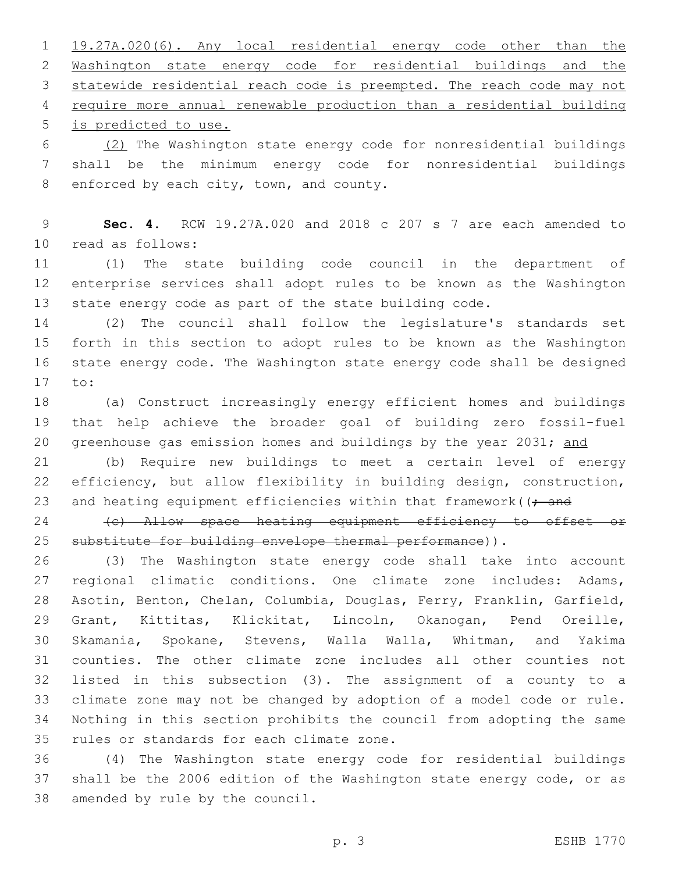19.27A.020(6). Any local residential energy code other than the Washington state energy code for residential buildings and the statewide residential reach code is preempted. The reach code may not require more annual renewable production than a residential building 5 is predicted to use.

 (2) The Washington state energy code for nonresidential buildings shall be the minimum energy code for nonresidential buildings 8 enforced by each city, town, and county.

 **Sec. 4.** RCW 19.27A.020 and 2018 c 207 s 7 are each amended to read as follows:10

 (1) The state building code council in the department of enterprise services shall adopt rules to be known as the Washington state energy code as part of the state building code.

 (2) The council shall follow the legislature's standards set forth in this section to adopt rules to be known as the Washington state energy code. The Washington state energy code shall be designed 17 to:

 (a) Construct increasingly energy efficient homes and buildings that help achieve the broader goal of building zero fossil-fuel 20 greenhouse gas emission homes and buildings by the year 2031; and

 (b) Require new buildings to meet a certain level of energy efficiency, but allow flexibility in building design, construction, 23 and heating equipment efficiencies within that framework ( $\rightarrow$  and

24 (c) Allow space heating equipment efficiency to offset or 25 substitute for building envelope thermal performance)).

 (3) The Washington state energy code shall take into account regional climatic conditions. One climate zone includes: Adams, Asotin, Benton, Chelan, Columbia, Douglas, Ferry, Franklin, Garfield, Grant, Kittitas, Klickitat, Lincoln, Okanogan, Pend Oreille, Skamania, Spokane, Stevens, Walla Walla, Whitman, and Yakima counties. The other climate zone includes all other counties not listed in this subsection (3). The assignment of a county to a climate zone may not be changed by adoption of a model code or rule. Nothing in this section prohibits the council from adopting the same 35 rules or standards for each climate zone.

 (4) The Washington state energy code for residential buildings shall be the 2006 edition of the Washington state energy code, or as 38 amended by rule by the council.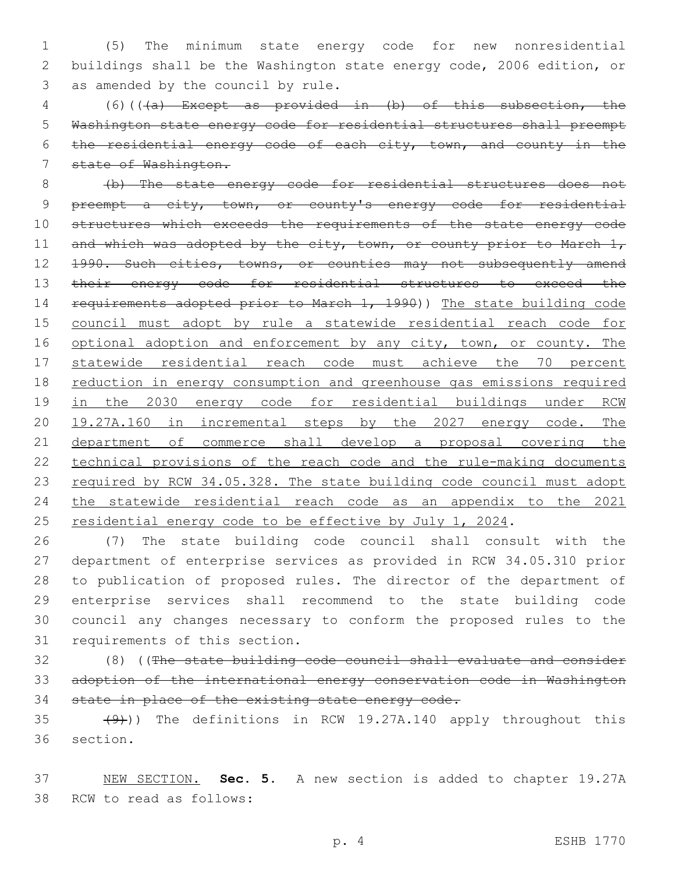1 (5) The minimum state energy code for new nonresidential 2 buildings shall be the Washington state energy code, 2006 edition, or 3 as amended by the council by rule.

 (6)(((a) Except as provided in (b) of this subsection, the Washington state energy code for residential structures shall preempt the residential energy code of each city, town, and county in the state of Washington.

8 (b) The state energy code for residential structures does not 9 preempt a city, town, or county's energy code for residential 10 structures which exceeds the requirements of the state energy code 11 and which was adopted by the city, town, or county prior to March 1, 12 1990. Such cities, towns, or counties may not subsequently amend 13 their energy code for residential structures to exceed the 14 requirements adopted prior to March 1, 1990)) The state building code 15 council must adopt by rule a statewide residential reach code for 16 optional adoption and enforcement by any city, town, or county. The 17 statewide residential reach code must achieve the 70 percent 18 reduction in energy consumption and greenhouse gas emissions required 19 in the 2030 energy code for residential buildings under RCW 20 19.27A.160 in incremental steps by the 2027 energy code. The 21 department of commerce shall develop a proposal covering the 22 technical provisions of the reach code and the rule-making documents 23 required by RCW 34.05.328. The state building code council must adopt 24 the statewide residential reach code as an appendix to the 2021 25 residential energy code to be effective by July 1, 2024.

 (7) The state building code council shall consult with the department of enterprise services as provided in RCW 34.05.310 prior to publication of proposed rules. The director of the department of enterprise services shall recommend to the state building code council any changes necessary to conform the proposed rules to the 31 requirements of this section.

32 (8) ((The state building code council shall evaluate and consider 33 adoption of the international energy conservation code in Washington 34 state in place of the existing state energy code.

35 (9))) The definitions in RCW 19.27A.140 apply throughout this 36 section.

37 NEW SECTION. **Sec. 5.** A new section is added to chapter 19.27A 38 RCW to read as follows: